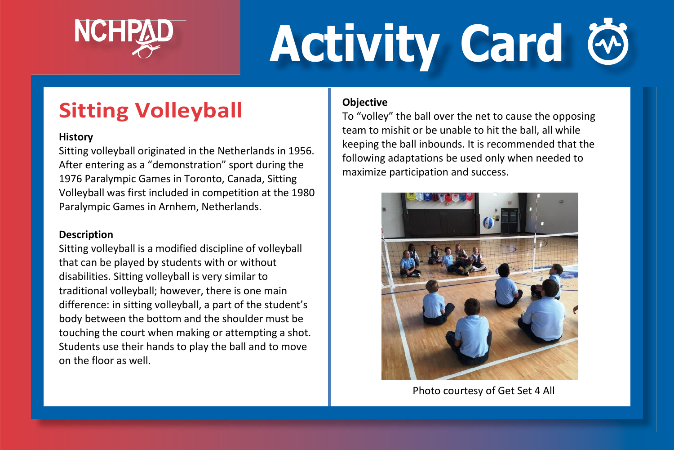

# **Activity Card**

## **Sitting Volleyball**

#### **History**

Sitting volleyball originated in the Netherlands in 1956. After entering as a "demonstration" sport during the 1976 Paralympic Games in Toronto, Canada, Sitting Volleyball was first included in competition at the 1980 Paralympic Games in Arnhem, Netherlands.

#### **Description**

Sitting volleyball is a modified discipline of volleyball that can be played by students with or without disabilities. Sitting volleyball is very similar to traditional volleyball; however, there is one main difference: in sitting volleyball, a part of the student's body between the bottom and the shoulder must be touching the court when making or attempting a shot. Students use their hands to play the ball and to move on the floor as well.

#### **Objective**

To "volley" the ball over the net to cause the opposing team to mishit or be unable to hit the ball, all while keeping the ball inbounds. It is recommended that the following adaptations be used only when needed to maximize participation and success.



Photo courtesy of Get Set 4 All